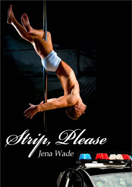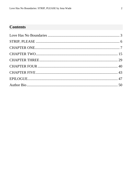## **Contents**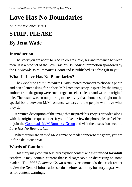# <span id="page-2-0"></span>**Love Has No Boundaries**

*An M/M Romance series*

# **STRIP, PLEASE**

## **By Jena Wade**

## **Introduction**

The story you are about to read celebrates love, sex and romance between men. It is a product of the *Love Has No Boundaries* promotion sponsored by the *Goodreads M/M Romance Group* and is published as a free gift to you.

## **What Is Love Has No Boundaries?**

The *Goodreads M/M Romance Group* invited members to choose a photo and pen a letter asking for a short M/M romance story inspired by the image; authors from the group were encouraged to select a letter and write an original tale. The result was an outpouring of creativity that shone a spotlight on the special bond between M/M romance writers and the people who love what they do.

A written description of the image that inspired this story is provided along with the original request letter. If you'd like to view the photo, please feel free to join the [Goodreads M/M Romance Group](http://www.goodreads.com/group/show/20149-m-m-romance) and visit the discussion section: *Love Has No Boundaries*.

Whether you are an avid M/M romance reader or new to the genre, you are in for a delicious treat.

### **Words of Caution**

This story may contain sexually explicit content and is **intended for adult readers.**It may contain content that is disagreeable or distressing to some readers. The *M/M Romance Group* strongly recommends that each reader review the General Information section before each story for story tags as well as for content warnings.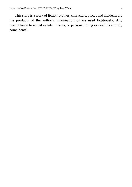This story is a work of fiction. Names, characters, places and incidents are the products of the author's imagination or are used fictitiously. Any resemblance to actual events, locales, or persons, living or dead, is entirely coincidental.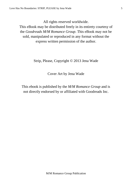All rights reserved worldwide.

This eBook may be distributed freely in its entirety courtesy of the *Goodreads M/M Romance Group*. This eBook may not be sold, manipulated or reproduced in any format without the express written permission of the author.

Strip, Please, Copyright © 2013 Jena Wade

Cover Art by Jena Wade

This ebook is published by the *M/M Romance Group* and is not directly endorsed by or affiliated with Goodreads Inc.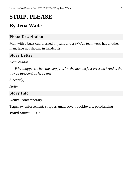# <span id="page-5-0"></span>**STRIP, PLEASE**

## **By Jena Wade**

## **Photo Description**

Man with a buzz cut, dressed in jeans and a SWAT team vest, has another man, face not shown, in handcuffs.

## **Story Letter**

*Dear Author*,

*What happens when this cop falls for the man he just arrested? And is the guy as innocent as he seems?*

*Sincerely,*

*Holly*

## **Story Info**

**Genre:** contemporary

**Tags:**law enforcement, stripper, undercover, booklovers, poledancing

**Word count:**13,667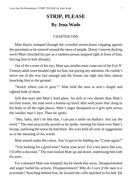# **STRIP, PLEASE By Jena Wade**

#### CHAPTER ONE

<span id="page-6-0"></span>Matt Hayes stomped through the crowded streets,boots clapping against the pavement as he weaved around the mess of people. *Doesn't anyone fucking work?*Matt clenched his jaw as a random person stopped right in front of him, forcing him to halt abruptly.

Out of the corner of his eye, Matt saw another man come out of the *Fun N' Fantasy* adult store headed right for him, not paying any attention. He couldn't move out of the way fast enough and the brunet ran right into him, almost knocking him to the ground.

"Watch where you're goin'!" Matt held the man at arm's length and righted both of them.

Soft doe-eyes met Matt's hard glare. An inch or two shorter than Matt's six-foot frame, the man wore a button-up black shirt with jeans that clung to his body in all the right places. Matt's anger dissipated as a grin split across the smaller man's face. Then he spoke.

"Hey, baby, don't be like that. I can put a smile on thatface. Just say the word." The man practically purred as he spoke, running his hand over Matt's biceps, outlining the tattoo he had there. His eyes held all sorts of suggestions as to the meaning of his words.

Matt tensed under the caress. *You've got to be kidding me.*"Come again?"

"You looking for a good time? Name your price. For a hot piece like you, I'd offer a discount." The man looked Matt up and down, undressing him with his eyes.

For a moment Matt was tempted, but he shook that away. Disappointment and anger fueled his actions. *Disappointment? Why do I care if the man is a prostitute?* Reaching behind him, he located the cuffs attached to his belt. He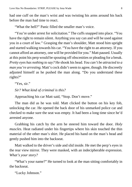had one cuff on the man's wrist and was twisting his arms around his back before the man had time to react.

"What the hell?" Panic filled the smaller man's voice.

"You're under arrest for solicitation." The cuffs snapped into place. "You have the right to remain silent. Anything you say can and will be used against you in a court of law." Grasping the man's shoulder, Matt stood him upright and started walking towards his car. "You have the right to an attorney. If you cannot afford an attorney, one will be provided for you." Matt paused. Usually at this point his perp would be spouting off obscenities or pleading for a break. *Pretty eyes has nothing to say?* He shook his head. *You can't be attracted to a man you're arresting.* Matt's cock didn't seem to agree, though. He discreetly adjusted himself as he pushed the man along. "Do you understand these rights?"

"Yes, sir." *Sir? What kind of criminal is this?*

Approaching his car Matt said, "Stop. Don't move."

The man did as he was told. Matt clicked the button on his key fob, unlocking the car. He opened the back door of his unmarked police car and checked to make sure the seat was empty. It had been a long time since he'd arrested anyone.

Grabbing his catch by the arm he steered him toward the door. *Holy muscles.* Heat radiated under his fingertips where his skin touched the thin material of the other man's shirt. He placed his hand on the man's head and gently pushed him into the backseat.

Matt walked to the driver's side and slid inside. He met the perp's eyes in the rear view mirror. They were masked, with an indecipherable expression. *What's your story?*

"What's your name?" He turned to look at the man sitting comfortably in the backseat.

"Lucky Johnson."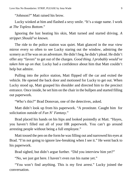"Johnson?" Matt raised his brow.

Lucky winked at him and flashed a sexy smile. "It's a stage name. I work at *The Topless Bottom*."

Ignoring the lust heating his skin, Matt turned and started driving. *A stripper.Should've known.* 

The ride to the police station was quiet. Matt glanced in the rear view mirror every so often to see Lucky staring out the window, admiring the scenery as if he was on an adventure. He didn't beg, he didn't plead. He didn't offer any "favors" to get out of the charges. *Good thing. I probably would've taken him up on that.* Lucky had a confidence about him that Matt couldn't help but admire.

Pulling into the police station, Matt flipped off the car and exited the vehicle. He opened the back door and motioned for Lucky to get out. When Lucky stood up, Matt grasped his shoulder and directed him to the precinct entrance. Once inside, he set him on the chair in the bullpen and started filling out paperwork.

"Who's this?" Brad Donovan, one of the detectives, asked.

Matt didn't look up from his paperwork. "A prostitute. Caught him for solicitation outside of *Fun N' Fantasy*."

Brad placed his hands on his hips and looked pointedly at Matt. "Hayes, you haven't filled out all of your HR paperwork. You can't go around arresting people without being a full employee."

Matt tossed the pen on the form he was filling out and narrowed his eyes at Brad. "I'm not going to ignore law-breaking when I see it." He went back to his paperwork.

Brad sighed, but didn't argue further. "Did you interview him yet?"

"No, we just got here. I haven't even run his name yet."

"You won't find anything. This is my first arrest." Lucky joined the conversation.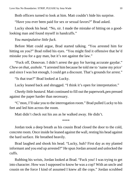Both officers turned to look at him. Matt couldn't hide his surprise.

"Have you ever been paid for sex or sexual favors?" Brad asked.

Lucky shook his head. "No, sir. I made the mistake of hitting on a goodlooking man and found myself in handcuffs."

*You manipulative little fuck.* 

Before Matt could argue, Brad started talking. "You arrested him for hitting on you?" Brad rolled his eyes. "You might find it offensive that he'd mistake you for a gay man, but it's not against the law."

"Fuck off, Donovan. I didn't arrest the guy for having accurate gaydar." *Chew on that, asshole.* "I arrested him because he told me to 'name my price' and since I was hot enough, I could get a discount. That's grounds for arrest."

"Is that true?" Brad looked at Lucky.

Lucky leaned back and shrugged. "I think it's open for interpretation."

*Cheeky little bastard.* Matt continued to fill out the paperwork,pen pressed against the paper harder than necessary.

"C'mon, I'll take you to the interrogation room." Brad pulled Lucky to his feet and led him across the room.

Matt didn't check out his ass as he walked away. He didn't.

\*\*\*\*

Jordan took a deep breath as his cousin Brad closed the door to the cold, concrete room. Once inside he leaned against the wall, resting his head against the hard surface. He breathed heavily.

Brad laughed and shook his head. "Lucky, huh? First day as my planted informant and you end up arrested?" He spun Jordan around and unlocked the cuffs.

Rubbing his wrists, Jordan looked at Brad. "Fuck you! I was trying to get into character. How was I supposed to know he was a cop? With an uncle and cousin on the force I kind of assumed I knew all the cops." Jordan scrubbed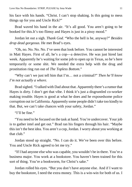his face with his hands. "Christ. I can't stop shaking. Is this going to mess things up for you and Uncle Rick?"

Brad waved his hand in the air. "It's all good. You aren't going to be booked for this.It's too flimsy and Hayes is just in a pissy mood."

Jordan let out a sigh. *Thank God.* "Who the hell is he, anyway?" *Besides drop dead gorgeous.* He met Brad's eyes.

"Oh, no. No. No. No. I've seen that look before. You cannot be interested in Matt Hayes. First of all, he's a cop—a detective. He was just hired last week. Apparently he's waiting for some job to open up in Texas, so he's here temporarily or some shit. We needed the extra help with the drug and prostitution ring run out of *The Topless Bottom*."

"Why can't we just tell him that I'm… not a criminal?" *Then he'll know I'm not actually a whore.*

Brad sighed. "I talked with Dad about that. Apparently there's a rumor that Hayes is dirty. I don't get that vibe. I think it's just a disgruntled co-worker making trouble. Hayes is good at what he does and he exposedsome police corruption out in California. Apparently some people didn't take too kindly to that. But, we can't take chances with your safety, Jordan."

"I'll be fine"

"You need to be focused on the task at hand. You're undercover. Your job is to gather intel and get out." Brad ran his fingers through his hair. "Maybe this isn't the best idea. You aren't a cop, Jordan. I worry about you working at that club."

Jordan stood up straight. "No. I can do it. We've been over this before. You and Uncle Rick agreed to let me try."

"If I had anyone else who was capable, you wouldn't be in there. You're a business major. You work at a bookstore. You haven't been trained for this sort of thing. You're a bookworm, for Christ's sake."

Jordan rolled his eyes. "But you don't have anyone else. And if I want to buy the bookstore, I need the extra money. This is a win-win for both of us. I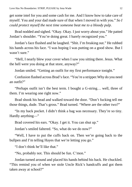get some intel for you and some cash for me. And I know how to take care of myself. You and your dad made sure of that when I moved in with you." *So I could protect myself the next time someone beat me to a bloody pulp.*

Brad nodded and sighed. "Okay. Okay. I just worry about you." He patted Jordan's shoulder. "You're doing great. I barely recognized you."

Jordan's face flushed and he laughed. "Shit. I'm freaking out." He rubbed his hands across his face. "I was hoping I was putting on a good show. But I wasn't sure."

"Hell, I nearly blew your cover when I saw you sitting there. Jesus. What the hell were you doing at that store, anyway?"

Jordan smiled. "Getting an outfit for my first performance tonight."

Confusion flashed across Brad's face. "You're a stripper.Why do you need an outfit?"

"Perhaps outfit isn't the best term. I bought a G-string… well, three of them. I'm wearing one right now."

Brad shook his head and walked toward the door. "Don't fucking tell me those things, dude. That's gross." Brad turned. "Where are the other two?"

"In my back pocket. I didn't think a bag was necessary. They're so tiny. Hardly anything—"

Brad covered his ears. "Okay. I get it. You can shut up."

Jordan's smiled faltered. "So, what do we do now?"

"Well, I have to put the cuffs back on. Then we're going back to the bullpen and I'm telling Hayes that we're letting you go."

"I don't think he'll like that."

"No, probably not. This should be fun. C'mon."

Jordan turned around and placed his hands behind his back. He chuckled. "This remind you of when we stole Uncle Rick's handcuffs and got them taken away at school?"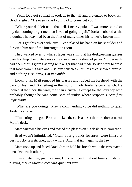"Yeah, Dad got so mad he took us to the jail and pretended to book us." Brad laughed. "He even called your dad to come get you."

"When your dad left us in that cell, I nearly puked. I was more scared of my dad coming to get me than I was of going to jail." Jordan sobered at the thought. That day had been the first of many times his father'd beaten him.

"Let's get this over with, cuz." Brad placed his hand on his shoulder and directed him out of the interrogation room.

They walked over to where Hayes was sitting at his desk,reading glasses over his deep chocolate eyes as they roved over a sheet of paper. *Gorgeous.* It had been Matt's glare flashing with anger that had made Jordan want to erase that look from his face and kiss him senseless until his eyes showed arousal and nothing else. *Fuck, I'm in trouble.*

Looking up, Matt removed his glasses and rubbed his forehead with the back of his hand. Something in the motion made Jordan's cock twitch. He looked at the floor, the wall, the chairs, anything except for the sexy cop who probably thought he was some sort of junkie-whore-stripper. *Great first impression.*

"What are you doing?" Matt's commanding voice did nothing to quell Jordan's arousal.

"I'm letting him go." Brad unlocked the cuffs and set them on the corner of Matt's desk.

Matt narrowed his eyes and tossed the glasses on his desk. "Oh, you are?"

Brad wasn't intimidated. "Yeah, your grounds for arrest were flimsy at best. Lucky is a stripper, not a whore. And that isn't against the law."

Matt stood up and faced Brad. Jordan held his breath while the two macho men sized each other up.

"I'm a detective, just like you, Donovan. Isn't it about time you started playing nice?" Matt's voice was quiet but firm.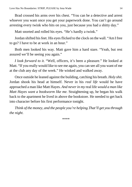Brad crossed his arms over his chest. "You can be a detective and arrest whoever you want once you get your paperwork done. You can't go around arresting every twink who hits on you, just because you had a shitty day."

Matt snorted and rolled his eyes. "He's hardly a twink."

Jordan shifted his feet. His eyes flicked to the clock on the wall. "Am I free to go? I have to be at work in an hour."

Both men looked his way. Matt gave him a hard stare. "Yeah, but rest assured we'll be seeing you again."

*I look forward to it.* "Well, officers, it's been a pleasure." He looked at Matt. "If you really would like to see me again, you can see all you want of me at the club any day of the week." He winked and walked away.

Once outside he leaned against the building, catching his breath. *Holy shit.* Jordan shook his head at himself. Never in his *real life* would he have approached a man like Matt Hayes. *And never in my* real life *would a man like Matt Hayes want a bookworm like me.* Straightening up, he began his walk back to the apartment he lived in above the bookstore. He needed to get back into character before his first performance tonight.

*Think of the money, and the people you're helping.That'll get you through the night.*

\*\*\*\*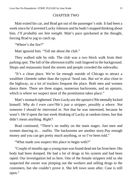#### CHAPTER TWO

<span id="page-14-0"></span>Matt exited his car, and Brad got out of the passenger's side. It had been a week since he'd arrested Lucky Johnson and he hadn't stopped thinking about him. *I'll probably see him tonight.* Matt's pace quickened at the thought, forcing Brad to jog to catch up.

"Where's the fire?"

Matt ignored him. "Tell me about the club."

They walked side by side. The club was a two block walk from their parking spot. The lull of the afternoon traffic rush lingered in the background. Shops and restaurants lined the streets and people crowded the sidewalks.

"It's a clean place. We're far enough outside of Chicago to attract a wealthier clientele rather than the typical 'hood rats. But we're also close to the highway, so a lot of truckers frequent the place. Both men and women dance there. There are three stages, numerous backrooms, and an upstairs, which is where we suspect most of the prostitution takes place."

Matt's stomach tightened. *Does Lucky use the upstairs?*He mentally kicked himself. *Why do I even care?He's just a stripper, possibly a whore. Not someone I should be interested in*. Not that he was interested, because he wasn't. He'd spent the last week thinking of Lucky at random times, but that didn't mean anything. *Right?*

Brad continued, "There's no nudity on the main stages. Just men and women dancing in… outfits. The backrooms are another story.Pay enough money and you can get pretty much anything, or so I've been told."

"What made you suspect this place to begin with?"

"Couple of months ago a young man was found dead not far from here. His body had been dumped. He had a lot of drugs in his system and had been raped. Our investigation led us here. One of the female strippers told us she suspected the owner was pimping out the workers and selling drugs to the customers, but she couldn't prove it. She left town soon after. Case is still open."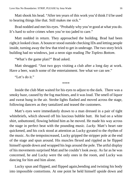Matt shook his head. "After ten years of this work you'd think I'd be used to hearing things like that. Still makes me sick."

Brad nodded and met his eyes. "Probably why you're good at what you do. It's hard to solve crimes when you're too jaded to care."

Matt nodded in return. They approached the building. Brad had been right,it looked clean. A bouncer stood outside checking IDs and letting people inside, turning away the few that tried to get in underage. The two story brick building had no windows, just a neon sign reading *The Topless Bottom*.

"What's the game plan?" Brad asked.

Matt shrugged. "Just two guys visiting a club after a long day at work. Have a beer, watch some of the entertainment. See what we can see."

"Let's do it."

\*\*\*\*

Inside the club Matt waited for his eyes to adjust to the dark. There was a smoky haze, caused by the fog machines, and it was loud. The smell of liquor and sweat hung in the air. Strobe lights flashed and moved across the stage, following dancers as they tantalized and teased the customers.

Matt's eyes were immediately drawn to a man dressed in a pair of tight whitebriefs, which showed off his luscious bubble butt. He had on a white shirt, unbuttoned, flowing behind him as he moved. He made his way across the stage in perfect beat with the pounding music. *Lucky.* Matt's heart rate quickened, and his cock stood at attention as Lucky gyrated to the rhythm of the music. As the tempoincreased, Lucky gripped the stripper pole at the end of the stage and spun around. His muscles flexed and rippled as he flipped himself upside down and wrapped his legs around the pole. The artful display of his movements surprised Matt and he couldn't look away. As far as he was concerned, he and Lucky were the only ones in the room, and Lucky was dancing for him and him alone.

Lucky spun and flipped, and flipped again,bending and twisting his body into impossible contortions. At one point he held himself upside down and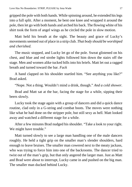gripped the pole with both hands. While spinning around, he extended his legs into a full split. After a moment, he bent one knee and wrapped it around the pole, then let go with both hands and arched his back. The flowing white of his shirt took the form of angel wings as he circled the pole in slow motion.

Matt held his breath at the sight. The beauty and grace of Lucky's movements seemed out of place in a strip club. *That body should be worshiped and cherished.*

The music stopped, and Lucky let go of the pole. Sweat glistened on his chest, and blue and red strobe lights followed him down the stairs off the stage. Men and women alike tucked bills into his briefs. Matt let out a ragged breath and turned toward the bar. *Fuck*

A hand clapped on his shoulder startled him. "See anything you like?" Brad asked.

"Nope. Not a thing. Wouldn't mind a drink, though." *And a cold shower.*

Brad and Matt sat at the bar, facing the stage for a while, sipping their beers slowly.

Lucky took the stage again with a group of dancers and did a quick dance routine, clad only in a G-string and combat boots. The moves were nothing like what he had done on the stripper pole, but still sexy as hell. Matt looked away and watched a different stage for a while.

After a few minutes Brad nudged his shoulder. "Take a look to your right. We might have trouble."

Matt turned slowly to see a large man handling one of the male dancers roughly. He held a tight grip on the smaller man's slender shoulders, hard enough to leave bruises. The smaller man cowered next to the meaty jackass, who was trying to force him into one of the backrooms. The dancer tried to twist out of the man's grip, but that only angered the larger man. Just as Matt and Brad were about to interrupt, Lucky came in and pushed on the big man. The smaller man ducked behind Lucky.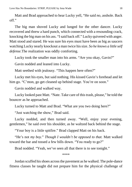Matt and Brad approached to hear Lucky yell, "He said *no*, asshole. Back off."

The big man shoved Lucky and lunged for the other dancer. Lucky recovered and threw a hard punch, which connected with a resounding crack, knocking the big man on his ass. "I said back off." Lucky quivered with anger. Matt stood and stared. He was sure his eyes must have been as big as saucers watching Lucky nearly knockout a man twice his size. *So he knows a little self defense.*The realization was oddly comforting.

Lucky took the smaller man into his arms. "Are you okay, Gavin?"

Gavin nodded and leaned into Lucky.

Matt seethed with jealousy. "This happen here often?"

Lucky met his eyes, but said nothing. His kissed Gavin's forehead and let him go. "C'mon, go get cleaned up behind stage. You're on soon."

Gavin nodded and walked way.

Lucky looked past Matt. "Nate. Take care of this trash, please," he told the bouncer as he approached.

Lucky turned to Matt and Brad. "What are you two doing here?"

"Just watching the show," Brad said.

Lucky nodded, and then turned away. "Well, enjoy your evening, gentlemen," he said over his shoulder, as he waltzed back behind the stage.

"Your boy is a little spitfire." Brad clapped Matt on his back.

"He's not *my boy*." *Though I wouldn't be opposed to that.* Matt walked toward the bar and tossed a few bills down. "You ready to go?"

Brad nodded. "Yeah, we've seen all that there is to see tonight."

\*\*\*\*

Jordan scuffed his shoes across the pavement as he walked. The pole-dance fitness classes he taught did not prepare him for the physical challenge of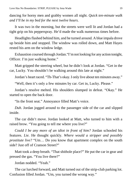dancing for horny men and grabby women all night. *Quick ten-minute walk and I'll be in my bed for the next twelve hours.*

It was two in the morning, but the streets were well lit and Jordan had a tight grip on his pepperspray. He'd made the walk numerous times before.

Headlights flashed behind him, and he turned around. A blue impala drove up beside him and stopped. The window was rolled down, and Matt Hayes rested his arm on the window ledge.

Exhaustion coursed through Jordan."I'm not looking for any action tonight, Officer. I'm just walking home."

Matt gripped the steering wheel, but he didn't look at Jordan. "Get in the car, Lucky. You shouldn't be walking around this late at night."

Jordan's heart raced. "Th-That's okay. I only live about ten minutes away."

"Well, then it's only a few minutes by car. Get in, Lucky. Please."

Jordan's resolve melted. His shoulders slumped in defeat. "Okay." He started to open the back door.

"In the front seat." Annoyance filled Matt's voice.

*Duh.* Jordan jogged around to the passenger side of the car and slipped inside.

The car didn't move. Jordan looked at Matt, who turned to him with a raised brow. "You going to tell me where you live?"

*Could I be any more of an idiot in front of him?* Jordan schooled his features. *Lie.* He thought quickly. *Where would a stripper and possibly prostitute live?* "Um… Do you know that apartment complex on the south side? Just off of Cranson Street?"

Matt took a deep breath. "That shithole place?" He put the car in gear and pressed the gas. "You live there?"

Jordan nodded. "Yeah."

The car lurched forward, and Matt turned out of the strip-club parking lot. Confusion filled Jordan. "Um, you turned the wrong way."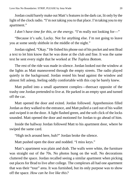Jordan could barely make out Matt's features in the dark car, lit only by the light of the clock radio. "I'm not taking you to that place. I'm taking you to my apartment."

*I don't have time for this, or the energy.* "I'm really not looking for—"

"Because it's safe, Lucky. Not for anything else. I'm not going to leave you at some seedy shithole in the middle of the night."

Jordan sighed. "Okay." He fished his phone out of his pocket and sent Brad a text to let him know that he was done at the club and fine. It was the same text he sent every night that he worked at *The Topless Bottom*.

The rest of the ride was made in silence. Jordan looked out the window at the lights as Matt maneuvered through the empty streets. The radio played quietly in the background. Jordan rested his head against the window and almost fell asleep, feeling oddly comfortable with this cop he barely knew.

Matt pulled into a small apartment complex—theexact opposite of the trashy one Jordan pretended to live at. He parked in an empty spot and turned off the car.

Matt opened the door and exited. Jordan followed. Apprehension filled Jordan as they walked to the entrance, and Matt pulled a card out of his wallet and swiped it on the door. A light flashed green, and the soft click of the locks sounded. Matt opened the door and motioned for Jordan to go ahead of him.

Inside the hallway Jordan followed Matt to his apartment door, where he swiped the same card.

"High tech around here, huh?" Jordan broke the silence.

Matt pushed open the door and nodded. "I miss keys."

Matt's apartment was plain and drab. The walls were white, the furniture was straight out of the 70s. No photos hung on the wall. No decorations cluttered the space. Jordan recalled seeing a similar apartment when picking out places for Brad to live after college. The complexes all had one apartment that was their "tour" area. It was furnished, but its only purpose was to show off the space. *How can he live like this?*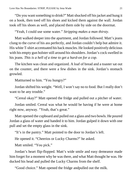"Do you want something to drink?" Matt shucked off his jacket and hung it on a hook, then toed off his shoes and kicked them against the wall. Jordan took off his shoes as well, and placed them side by side on the doormat.

"Yeah, I could use some water." *Stripping makes a man thirsty*.

Matt walked deeper into the apartment, and Jordan followed. Matt's jeans clung to the curve of his ass perfectly, and Jordan couldn't help but admire it. His white T-shirt accentuated his back muscles. He looked positively delicious with his empty gun holster still around his shoulders. Jordan's cock swelled in his jeans. *This is a hell of a time to get a hard-on for a cop.* 

The kitchen was clean and organized. A loaf of bread and a toaster sat out on the counter, and there were a few dishes in the sink. Jordan's stomach growled.

Mattturned to him. "You hungry?"

Jordan shifted his weight. "Well, I won't say no to food. But I really don't want to be any trouble."

"Cereal okay?" Matt opened the fridge and pulled out a pitcher of water.

Jordan smiled. Cereal was what he would be having if he were at home right now, anyway. "Yeah, that's great."

Matt opened the cupboard and pulled out a glass and two bowls. He poured Jordan a glass of water and handed it to him. Jordan gulped it down with one pull and set the empty glass in the sink.

"It's in the pantry." Matt pointed to the door to Jordan's left.

He opened it. "Cheerios or Lucky Charms?" he asked.

Matt smiled. "You pick."

Jordan's heart flip-flopped. Matt's wide smile and easy demeanor made him forget for a moment why he was there, and what Matt thought he was. He ducked his head and pulled the Lucky Charms from the shelf.

"Good choice." Matt opened the fridge andpulled out the milk.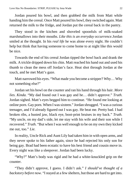Jordan poured his bowl, and then grabbed the milk from Matt while handing him the cereal. Once Matt poured his bowl, they switched again. Matt returned the milk to the fridge, and Jordan put the cereal back in the pantry.

They stood in the kitchen and shoveled spoonfuls of milk-soaked marshmallows into their mouths. *Like this is an everyday occurrence.*Jordan smiled at the thought. In his *real life* he was alone every night. He couldn't help but think that having someone to come home to at night like this would be nice.

Towards the end of his cereal Jordan tipped the bowl back and drank the milk. A trickle dripped down his chin. Matt reached his hand out and used his thumb to clean the mess off Jordan's face. Heat shot through Jordan at the touch, and he met Matt's gaze.

Matt narrowed his eyes. "What made you become a stripper? Why… Why not something else?"

Jordan set his bowl on the counter and ran his hand through his hair. *More lies. Kinda.* "My dad found out I was gay and he… didn't approve." *Truth.*  Jordan sighed. Matt's eyes begged him to continue. "He found me looking at online porn. Gay porn. When I was sixteen." Jordan shrugged. "I was a curious teenager, and I'd already figured out I was gay. He beat me. Pretty bad. I had broken ribs, a busted jaw, black eye, boot-print bruises in my back." *Truth.* "My uncle, on my dad's side, let me stay with his wife and their son while I recovered." *Truth.* "But when I was well enough to be on my own they kicked me out, too." *Lie.*

In reality, Uncle Rick and Aunt Lily had taken him in with open arms, and they never spoke to his father again, since he had rejected his only son for being gay. Brad had been ecstatic to have his best friend and cousin move in. Every night was like a sleepover. Jordan had been lucky.

"Why?" Matt's body was rigid and he had a white-knuckled grip on the counter.

"They didn't approve, I guess. I didn't ask." *I should've thought of a backstory before now.* "I stayed at a few shelters, but those are hard to get into.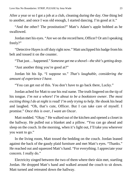After a year or so I got a job at a club, cleaning during the day. One thing led to another, and once I was old enough, I started dancing. I'm good at it."

"And the other? The prostitution?" Matt's Adam's apple bobbed as he swallowed.

Jordan met his eyes. "Are we on the record here, Officer? Or am I speaking freely?"

"Detective Hayes is off duty right now." Matt unclipped his badge from his belt and tossed it on the counter.

"That just… happened." *Someone get me a shovel—the shit's getting deep.*

"Just another thing you're good at?"

Jordan bit his lip. "I suppose so." *That's laughable, considering the amount of experience I have.*

"You can get out of this. You don't have to go back there, Lucky."

Jordan ached for Matt to use his real name. The truth lingered on the tip of his tongue. *I'm not a whore! I'm about to be a bookstore owner. The most exciting thing I do at night is read! I'm only trying to help.* He shook his head and laughed. "Oh, that's cute, Officer. But I can take care of myself. I promise." *Once this is over, I want an Oscar.*

Matt nodded. "Okay." He walked out of the kitchen and opened a closet in the hallway. He pulled out a blanket and a pillow. "You can go ahead and sleep on the couch. In the morning, when it's light out, I'll take you wherever you want to go."

In the living room, Matt tossed the bedding on the couch. Jordan leaned against the back of the gaudy plaid furniture and met Matt's eyes. "Thanks." He reached out and squeezed Matt's hand. "For everything. I appreciate your concern. I really do."

Electricity zinged between the two of them where their skin met, startling Jordan. He dropped Matt's hand and walked around the couch to sit down. Matt turned and retreated down the hallway.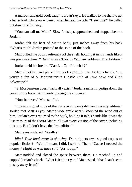A maroon and gold book caught Jordan's eye. He walked to the shelf to get a better look. His eyes widened when he read the title. "Detective?" he called out down the hallway.

"You can call me Matt." Slow footsteps approached and stopped behind Jordan.

Jordan felt the heat of Matt's body, just inches away from his back "What's this?" Jordan pointed to the spine of the book.

Matt pulled the book cautiously off the shelf, holding it in his hands like it was priceless china. "*The Princess Bride* by William Goldman. First Edition."

Jordan held his breath. "Can I… Can I touch it?"

Matt chuckled, and placed the book carefully into Jordan's hands. "So, you're a fan of *S. Morgenstern's Classic Tale of True Love and High Adventure*?"

"S. Morgenstern doesn't actually exist." Jordan ran his fingertips down the cover of the book, skin barely grazing the slipcover.

"Non-believer." Matt scoffed.

"I have a signed copy of the hardcover twenty-fifthanniversary edition." Jordan met Matt's eyes. Matt's wide smile nearly knocked the wind out of him. Jordan's eyes returned to the book, holding it in his hands like it was the lost treasure of the Sierra Madre. "I own every version of the cover, including this one. But I don't have the first edition."

Matt eyes widened. "Really?"

*Idiot! Your bookworm is showing.* Do strippers own signed copies of popular fiction? "Well, I mean, I did. I sold it. Them. 'Cause I needed the money." *Might as well have said "for drugs."*

Matt nodded and closed the space between them. He reached up and cupped Jordan's cheek. "What is it about you," Matt asked, "that I can't seem to stay away from?"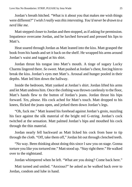Jordan's breath hitched. "What is it about you that makes me wish things were different?" *I wish I really was this interesting. You'd never be drawn to a nerd like me.*

Matt stepped closer to Jordan and then stopped, as if asking for permission. Impatience overcame Jordan, and he lurched forward and pressed his lips to Matt's.

Heat soared through Jordan as Matt leaned into the kiss. Matt grasped the book from his hands and set it back on the shelf. He wrapped his arms around Jordan's waist and tugged at his shirt.

Jordan thrust his tongue into Matt's mouth. A tinge of sugary Lucky Charms lingered there. *So sweet.* Matt pushed at Jordan's chest, forcing him to break the kiss. Jordan's eyes met Matt's. Arousal and hunger pooled in their depths. Matt led him down the hallway.

Inside the bedroom, Matt yanked at Jordan's shirt. Jordan lifted his arms and let Matt undress him. Once the clothing was thrown carelessly to the floor, Matt's hands flew to the button of Jordan's jeans. Jordan thrust his hips forward. *Yes, please.* His cock ached for Matt's touch. Matt dropped to his knees, flicked the jeans open, and jerked them down Jordan's legs.

"Oh, fuck me." Matt leaned his forehead against Jordan's groin, nuzzling his face against the silk material of the bright red G-string. Jordan's cock twitched at the sensation. Matt palmed Jordan's hips and mouthed his cock through the thin material.

Jordan nearly fell backward as Matt licked his cock from base to tip through the cloth. "Off, take them off," Jordan bit out through clenched teeth.

"No way. Been thinking about doing this since I saw you on stage. Gonna torture you like you tortured me." Matt stood up. "Stay right there." He walked over to the nightstand.

Jordan whimpered when he left. "What are you doing? Come back here."

Matt turned and smiled. "Anxious?" he asked as he walked back over to Jordan, condom and lube in hand.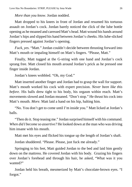*More than you know*. Jordan nodded.

Matt dropped to his knees in front of Jordan and resumed his tortuous assault on Jordan's cock. Jordan barely noticed the click of the lube bottle opening as he moaned and caressed Matt's head. Matt wound his hands around Jordan's hips and slipped his hand between Jordan's cheeks. His lube-slicked fingers pressed against Jordan's opening.

*Fuck, yes.* "Matt." Jordan couldn't decide between thrusting forward into Matt's mouth or impaling himself on Matt's fingers. "Please, Matt."

Finally, Matt tugged at the G-string with one hand and Jordan's cock sprang free. Matt closed his mouth around Jordan's prick as he pressed one finger inside Jordan.

Jordan's knees wobbled. "Oh, my God."

Matt inserted another finger and Jordan had to grasp the wall for support. Matt's mouth worked his cock with expert precision. *Never been like this before.* His balls drew tight to his body, his orgasm within reach. Matt's movements slowed and Jordan moaned. "Don't stop." He thrust his cock into Matt's mouth. *More.* Matt laid a hand on his hip, halting him.

"No. You don't get to come until I'm inside you." Matt licked at Jordan's balls.

"Then do it. Stop teasing me." Jordan surprised himself with his command. *When did I become so assertive?* He looked down at the man who was driving him insane with his mouth.

Matt met his eyes and flicked his tongue up the length of Jordan's shaft.

Jordan shuddered. "Please. Please, just fuck me already."

Springing to his feet, Matt guided Jordan to the bed and laid him gently down on the mattress. He covered Jordan with his body. Grazing his fingers over Jordan's forehead and through his hair, he asked, "What was it you wanted?"

Jordan held his breath, mesmerized by Matt's chocolate-brown eyes. "I forgot."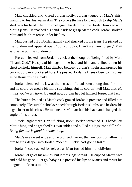Matt chuckled and kissed Jordan softly. Jordan tugged at Matt's shirt, wanting to feel his warm skin. They broke the kiss long enough to slip Matt's shirt over his head. Their lips met again, harder this time. Jordan fumbled with Matt's jeans. He reached his hand inside to grasp Matt's cock. Jordan stroked Matt and felt him tense under his lips.

Matt pushed off of Jordan quickly and shucked off the jeans. He picked up the condom and ripped it open. "Sorry, Lucky. I can't wait any longer," Matt said as he put the condom on.

Pre-cum leaked from Jordan's cock at the thought of being filled by Matt. "Thank God." He spread his legs on the bed and his hand drifted down his chest to stroke himself. Matt climbed between Jordan's thighs and pressed his cock to Jordan's puckered hole. He pushed Jordan's knees closer to his chest as he thrust inside slowly.

Jordan clenched his jaw at the intrusion. It had been a long time for him, and he could've used a bit more stretching. But he couldn't tell Matt that. *He thinks you're a whore.* Up until now Jordan had let himself forget that fact.

The burn subsided as Matt's cock grazed Jordan's prostate and filled him completely. Pleasurable shocks ripped through Jordan's limbs, and he drew his legs closer to his chest. He moaned as Matt arched his back and changed the angle of his thrust.

"Fuck. Right there. Don't fucking stop!" Jordan screamed. His hands left Matt's hips, and he grabbed his own ankles and pulled his legs into a full split. *Being flexible is good for something.*

Matt's eyes went wide and he plunged harder, the new position allowing him to sink deeper into Jordan. "So hot, Lucky. Not gonna last."

Jordan's cock ached for release as Matt fucked him into oblivion.

Jordan let go of his ankles, but left his legs spread. He cupped Matt's face and held his gaze. "Let go, baby." He pressed his lips to Matt's and thrust his tongue into Matt's mouth.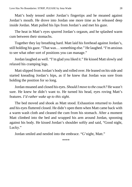Matt's body tensed under Jordan's fingertips and he moaned against Jordan's mouth. He drove into Jordan one more time as he released deep inside Jordan. Matt pulled his lips from Jordan's and met his gaze.

The heat in Matt's eyes spurred Jordan's orgasm, and he splashed warm cum between their stomachs.

Together they lay breathing hard. Matt laid his forehead against Jordan's, still holding his gaze. "That was… something else." He laughed. "I'm anxious to see what other sort of positions you can manage."

Jordan laughed as well. "I'm glad you liked it." He kissed Matt slowly and relaxed his cramping legs.

Matt slipped from Jordan's body and rolled over. He leaned on his side and started kneading Jordan's hips, as if he knew that Jordan was sore from holding the position for so long.

Jordan moaned and closed his eyes. *Should I move to the couch?* He wasn't sure. He knew he didn't want to. He turned his head, eyes roving Matt's features. *I'd rather wake up to this sight.*

The bed moved and shook as Matt stood. Exhaustion returned to Jordan and his eyes fluttered closed. He didn't open them when Matt came back with a warm wash cloth and cleaned the cum from his stomach. After a moment Matt climbed into the bed and wrapped his arm around Jordan, spooning against his body. He kissed Jordan's shoulder softly and said, "Good night, Lucky."

Jordan smiled and nestled into the embrace. "G'night, Matt."

\*\*\*\*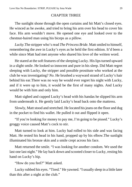#### CHAPTER THREE

<span id="page-28-0"></span>The sunlight shone through the open curtains and hit Matt's closed eyes. He winced as he awoke, and tried to bring his arm over his head to cover his face. His arm wouldn't move. He opened one eye and looked over to the chestnut-haired man using his biceps as a pillow.

*Lucky.*The stripper who's read *The Princess Bride.* Matt smiled to himself, remembering the awe in Lucky's eyes as he held the first edition. It'd been a while since Matt had met anyone who shared his love of the written word.

He stared at the soft features of the sleeping Lucky. His lips turned upward in a slight smile. He looked so innocent and pure in his sleep. Did Matt regret sleeping with Lucky, the stripper and possible prostitute who worked at the club he was investigating? *No.* He brushed a wayward strand of Lucky's hair behind his ear.There was no way he would ever regret his night with Lucky, and if it were up to him, it would be the first of many nights. And Lucky would be with him and only him.

Matt sighed and cupped Lucky's head with his handas he slipped his arm from underneath it. He gently laid Lucky's head back onto the mattress.

Slowly, Matt stood and stretched. He located his jeans on the floor and dug in the pocket to find his wallet. He pulled it out and flipped it open.

"If you're looking for money to pay me, I'm going to be pissed." Lucky's groggy voice caused Matt's cock to stir.

Matt turned to look at him. Lucky had rolled to his side and was facing Matt. He rested his head in his hand, propped up by his elbow.The sunlight illuminated his bronze skin and a smile crept across his face.

Matt returned the smile. "I was looking for another condom. We used the last one last night." He lay back down and scooted closer to Lucky, resting his hand on Lucky's hip.

"How do you feel?" Matt asked.

Lucky rubbed his eyes. "Tired." He yawned. "I usually sleep in a little later than this after a night at the club."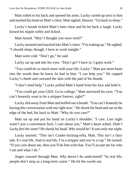Matt rolled to his back and opened his arms. Lucky curled up next to him and nestled his head on Matt's chest. Matt sighed. *Heaven.* "Go back to sleep."

Lucky's breath tickled Matt's bare chest and he bit back a laugh. Lucky kissed his nipple softly and licked.

Matt hissed. "Hey! I thought you were tired?"

Lucky moaned and nuzzled into Matt's chest. "I'm waking up." He sighed. "I should sleep, though. I have to work tonight."

Matt went cold. "Don't go," he said.

Lucky sat up and met his eyes. "Don't go? I have to. I gotta work."

"You could do so much more with your life, Lucky." Matt put more heart into the words than he knew he had in him. "I can help you." He cupped Lucky's cheek and caressed the skin with the pad of his thumb.

"I don't need help." Lucky pulled Matt's hand from his face and held it.

"You could get your GED. Go to college." Matt narrowed his eyes. "You can't honestly want to be a stripper forever, right?"

Lucky slid away from Matt and huffed out a breath. "You can't honestly be having this conversation with me right now." He shook his head and sat on the edge of the bed, his back to Matt. "Why do you care?"

Matt sat up and put his hand on Lucky's shoulder. "I care. Last night wasn't just a convenient fuck. I care about you." Matt's heart ached. *Didn't Lucky feel the same?* He shook his head. *Why would he? It was only one night.*

Lucky snorted. "This isn't Cinder-fucking-rella, Matt. This isn't a fairy tale. It's real life. And in real life, I'm a stripper and you're a cop." He turned. "If you care about me, then you'll be fine with that. You'll accept me for who I am and what I do."

Anger coursed through Matt. *Why doesn't he understand*? "In real life, people don't strip as a long-term career." He bit the words out.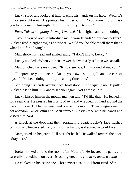Lucky stood and looked at him, placing his hands on his hips. "Well, it's my career right now." He pointed his finger at him. "You know, I didn't ask you to pick me up last night. I didn't ask for you to care."

*Fuck. This is not going the way I wanted.* Matt sighed and said nothing.

"Would you be able to introduce me to your friends? Your co-workers?" Lucky asked. "Right now, as a stripper. Would you be able to tell them that's what I did for a living?"

Matt shook his head and smiled sadly*.* "I don't know, Lucky."

Lucky nodded. "When you can answer that with a 'yes,' then we can talk."

Matt pinched his eyes closed. "It's dangerous. I'm worried about you."

"I appreciate your concern. But as you saw last night, I can take care of myself. I've been doing it for quite a long time now."

Scrubbing his hands over his face, Matt stood. *I'm not giving up.* He pulled Lucky close to him. "I want to see you again. Not at the club."

Lucky kissed him on the mouth and then said, "I'd like that." He leaned in for a real kiss. He pressed his lips to Matt's and wrapped his hand around the back of his neck. Matt moaned and opened his mouth. Their tongues met in hot abandon. *Never letting go.* Matt framed Lucky's face with his hands and kissed him hard.

A knock at the door had them scrambling apart. Lucky's face flushed crimson and he covered his groin with his hands, as if someone would see him.

Matt jerked on his jeans. "I'll be right back." He walked toward the door. "Stay here."

\*\*\*\*

Jordan looked around the room after Matt left. He located his pants and carefully pulledthem on over his aching erection. *I'm in so much trouble.*

He clicked on his cellphone. Three missed calls. All from Brad. *Shit.*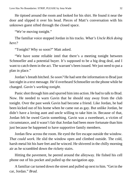He tiptoed around the room and looked for his shirt. He found it near the door and slipped it over his head. Pieces of Matt's conversation with his unknown guest sifted through the closed space.

"We're moving tonight."

The familiar voice stopped Jordan in his tracks. *What's Uncle Rick doing here?*

"Tonight? Why so soon?" Matt asked.

"We have some reliable intel that there's a meeting tonight between Schmoeller and a potential buyer. It's supposed to be a big drug deal, and I want to catch them in the act. The warrant's been issued. We just need to put a plan in place."

Jordan's breath hitched. *So soon?* He had sent the information to Brad just last night in a text message. He'd overheard Schmoeller on the phone while he changed. *Gavin's working tonight.*

Panic shot through him and spurred him into action. He had to talk to Brad. Now. He needed to warn Gavin that he should stay away from the club tonight. Over the past week Gavin had become a friend. Like Jordan, he had been kicked out of his home when he came out as gay. But unlike Jordan, he didn't have a loving aunt and uncle willing to take him in. Because of that, Jordan felt he owed Gavin something. Gavin was a sweetheart, a victim of circumstance, and it wasn't fair that Jordan had been more fortunate than him just because he happened to have supportive family members.

Jordan flew across the room. He eyed the fire escape outside the window. *That could work.* He slid the window open and climbed outside. The cold, harsh metal hit his bare feet and he winced. He shivered in the chilly morning air as he scrambled down the rickety stairs.

Hitting the pavement, he peered around the alleyway. He fished his cell phone out of his pocket and pulled up the navigation app.

A familiar car turned down the street and pulled up next to him. "Get in the car, Jordan." *Brad.*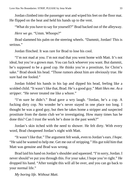Jordan climbed into the passenger seat and wiped his feet on the floor mat. He flipped on the heat and held his hands up to the vent.

"What do you have to say for yourself?" Brad backed out of the alleyway.

*Here we go.* "Umm. Whoops?"

Brad slammed his palm on the steering wheels. "Dammit, Jordan! This is serious."

Jordan flinched. It was rare for Brad to lose his cool.

"I'm not mad at you. I'm not mad that you went home with Matt. It's not ideal, but you're a grown man. You can fuck whoever you want. But dammit, he's supposed to be a good cop. He thinks you're a prostitute, for Christ's sake." Brad shook his head. "Those rumors about him are obviously true. He sure had me fooled."

Jordan folded his hands in his lap and dipped his head, feeling like a scolded child. "It wasn't like that, Brad. He's a good guy." *Matt likes me. As a stripper.* "He never treated me like a whore."

"I'm sure he didn't." Brad gave a wry laugh. "Jordan, he's a cop. A fucking dirty cop. No wonder he's never stayed in one place too long. I thought he was a good guy, but then he takes home a stripper and suspected prostitute from the damn club we're investigating. How many times has he done this? Can I trust the work he's done in the past week?"

Jordan's skin itched with the need to shower. He felt dirty. With every word, Brad cheapened Jordan's night with Matt.

"It wasn't like that." The argument felt weak, even to Jordan's ears. *I hope.* "He said he wanted to help me. Get me out of stripping." His gut told him that Matt was genuine and Brad was wrong.

Brad laid his hand on Jordan's shoulder and squeezed. "I'm sorry, Jordan. I never should've put you through this. For your sake, I hope you're right." He dropped his hand. "After tonight this will all be over, and you can go back to your normal life."

*My boring life. Without Matt.*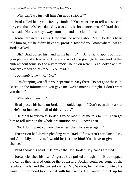"Why can't we just tell him I'm not a stripper?"

Brad rolled his eyes. "Really, Jordan? You want me to tell a suspected dirty cop that he's been duped by a soon-to-be bookstore owner?" Brad shook his head. "No, you stay away from him and the club. I mean it."

Jordan crossed his arms. Brad must be wrong about Matt, Jordan's heart told him so, but he didn't have any proof. "How did you know where I was?" Jordan asked.

"Uh." Brad buried his hand in his hair. "*Find My Friend* app. I put it on your phone and activated it. There's no way I was going to let you work at that club without some sort of way to track where you were." Brad looked at him, concern etched on his face. "You mad?"

*Too numb to be mad.* "No."

"I'm dropping you off at your apartment. Stay there. Do not go to the club. Based on the information you gave me, we're moving tonight. I don't want you there."

"What about Gavin?"

Brad placed his hand on Jordan's shoulder again. "Don't even think about it. He's not innocent in all of this, Jordan."

"He did it to survive!" Jordan's voice rose. "Let me talk to him! I can get him to roll over on the whole prostitution ring. I know I can."

"No. I don't want you anywhere near that place ever again."

Frustration had Jordan pleading with Brad. "If it weren't for Uncle Rick and Aunt Lily, and you, I would be just like him! You have to give him a chance."

Brad shook his head. "He broke the law, Jordan. My hands are tied."

Jordan clenched his fists. Anger at Brad pulsed through him. Brad stopped the car as they arrived outside the bookstore. Jordan could see some of the regulars inside, and the current owner, Mr. Walton, behind the counter. He wasn't in the mood to chit-chat with his friends. He wanted to pick up his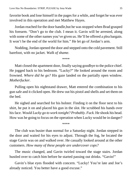favorite book and lose himself in the pages for a while, and forget he was ever involved in this operation and met Matthew Hayes.

Jordan reached for the door handle,but he was stopped when Brad grasped his forearm. "Don't go to the club. I mean it. Gavin will be arrested, along with some of the other names you've given us. He'll be offered a plea bargain. It won't be the end of the world for him." He let go of Jordan's arm.

Nodding, Jordan opened the door and stepped onto the cold pavement. Still barefoot, with no jacket. *Walk of shame.*

\*\*\*\*

Matt closed the apartment door, finally saying goodbye to the police chief. He jogged back to his bedroom. "Lucky?" He looked around the room and frowned. *Where did he go?* His gaze landed on the partially open window. *Motherfucker.*

Pulling open his nightstand drawer, Matt entered the combination to his gun safe and it clicked open. He drew out his pistol and shells and set them on the bed.

He sighed and searched for his holster. Finding it on the floor next to his shirt, he put it on and placed his gun in the slot. He scrubbed his hands over his face. *Would Lucky go to work tonight? Probably. Fuck.* He shook his head. How was he going to focus on the operation when Lucky would be in danger?

\*\*\*\*

The club was busier than normal for a Saturday night. Jordan stepped in the door and waited for his eyes to adjust. Through the fog, he located the stage Gavin was on and walked over. He casually looked around at the other customers. *How many of these people are undercover cops?*

The music changed, and Gavin twirled toward the stage stairs. Jordan hustled over to catch him before he started passing out drinks. "Gavin!"

Gavin's blue eyes flooded with concern. "Lucky! You're late and Joe's already noticed. You better have a good excuse."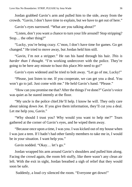Jordan grabbed Gavin's arm and pulled him to the side, away from the crowds. "Gavin, I don't have time to explain, but we have to get out of here."

Gavin's eyes narrowed. "What are you talking about?"

"Listen, don't you want a chance to turn your life around? Stop stripping? Stop… the other thing?"

"Lucky, you're being crazy. C'mon, I don't have time for games. Go get changed." He tried to move away, but Jordan held him still.

"Gavin, I'm not a stripper." He ran his hand through his hair. *This is harder than I thought.* "I'm working undercover with the police. They're going to be here any minute to bust this place.We need to go!"

Gavin's eyes widened and he tried to bolt away. "Let go of me, Lucky!"

"Please, just listen to me. If you cooperate, we can get you a deal. You won't go to jail. Just come with me." He held Gavin's hand. "Please."

"How can you promise me that? After the things I've done?" Gavin's voice was quiet as he stared intently at the floor.

"My uncle is the police chief.He'll help. I know he will. They only care about taking down Joe. If you give them information, they'll cut you a deal. Let me help you, Gavin."

"Why should I trust you? Why would you want to help me?" Tears gathered at the corner of Gavin's eyes, and he wiped them away.

"Because once upon a time, I was you. I was kicked out of my house when I was just a teen. If I hadn't had other family members to take me in, I would be in your situation. I want help you."

Gavin nodded. "Okay… let's go."

Jordan wrapped his arm around Gavin's shoulders and pulled him along. Facing the crowd again, the room felt stuffy, like there wasn't any clean air left. With the exit in sight, Jordan breathed a sigh of relief that they would soon be safe.

Suddenly, a loud cry silenced the room. "Everyone get down!"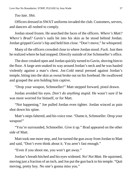#### *Too late. Shit.*

Officers dressed in SWAT uniforms invaded the club. Customers, servers, and dancers all rushed to comply.

Jordan stood frozen. He searched the faces of the officers. *Where's Matt? Where's Brad?* Gavin's nails bit into his skin as he stood behind Jordan. Jordan gripped Gavin's hip and held him close. "Don't move," he whispered.

Many of the officers crowded close to where Jordan stood. *Fuck.*Just then he realized where he had stopped. Directly outside of Joe Schmoeller's office.

The door creaked open and Jordan quickly turned to Gavin, shoving him to the floor. A large arm snaked its way around Jordan's neck and he was hauled violently against a man's chest. *Joe.*Cold metal pressed against Jordan's temple, biting into the skin as sweat broke out on his forehead. He swallowed and grasped the arm holding him captive.

"Drop your weapon, Schmoeller!" Matt stepped forward, pistol drawn.

Jordan avoided his eyes. *Don't do anything stupid.* He wasn't sure if he was more worried for himself, or for Matt.

"Not happening." Joe pulled Jordan even tighter. Jordan winced as pain shot down his spine.

Matt's steps faltered, and his voice rose. "Damn it, Schmoeller. Drop your weapon!"

"You're surrounded, Schmoeller. Give it up." Brad appeared on the other side of Matt.

Matt took one more step, and Joe turned the gun away from Jordan to Matt and said, "Don't even think about it. You aren't fast enough."

"Even if you shoot me, you won't get away."

Jordan's breath hitched and his eyes widened. *No! Not Matt.* He squirmed, moving just a fraction of an inch, and Joe put the gun back to his temple. "Quit moving, pretty boy. No one's gonna miss you."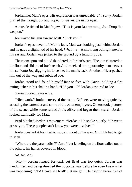Jordan met Matt's eyes. His expression was unreadable. *I'm sorry.* Jordan pushed the thought out and hoped it was visible in his eyes.

A muscle ticked in Matt's jaw. "This is your last warning, Joe. Drop the weapon."

Joe waved his gun toward Matt. "Fuck you!"

Jordan's eyes never left Matt's face. Matt was looking just behind Jordan and he gave a slight nod of his head. *What the*—A shot rang out right next to his ear and Jordan was jerked to the ground by a tumbling Joe.

The room spun and blood thundered in Jordan's ears. The gun clattered to the floor and slid out of Joe's reach. Jordan seized the opportunity to maneuver himself onto Joe, digging his knee into the man's back. Another officer pushed him out of the way and subdued Joe.

Jordan stood and found himself face to face with Gavin, holding a fire extinguisher in his shaking hand. "Did you—?" Jordan gestured to Joe.

Gavin nodded, eyes wide.

"Nice work." Jordan surveyed the room. Officers were moving quickly, arresting the bartender and some of the other employees. Others took pictures of the scene, while some raided Joe's office and began their search. Jordan looked frantically for Matt.

Brad blocked Jordan's movement. "Jordan." He spoke quietly. "I have to arrest you. These people can't know you were involved."

Jordan pushed at his chest to move him out of the way. *Matt.* He had to get to Matt.

"Where are the paramedics?" An officer kneeling on the floor called out to the others, his hands covered in blood.

#### *No. No. No!*

"Matt!" Jordan lunged forward, but Brad was too quick. Jordan was handcuffed and being directed the opposite way before he even knew what was happening. "No! I have see Matt! Let me go!" He tried to break free of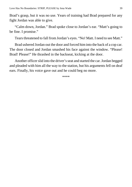Brad's grasp, but it was no use. Years of training had Brad prepared for any fight Jordan was able to give.

"Calm down, Jordan." Brad spoke close to Jordan's ear. "Matt's going to be fine. I promise."

Tears threatened to fall from Jordan's eyes. "No! Matt. I need to see Matt."

Brad ushered Jordan out the door and forced him into the back of a cop car. The door closed and Jordan smashed his face against the window. "Please! Brad! Please!" He thrashed in the backseat, kicking at the door.

Another officer slid into the driver's seat and started the car. Jordan begged and pleaded with him all the way to the station, but his arguments fell on deaf ears. Finally, his voice gave out and he could beg no more.

\*\*\*\*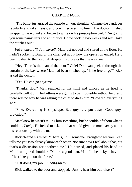#### CHAPTER FOUR

<span id="page-39-0"></span>"The bullet just grazed the outside of your shoulder. Change the bandages regularly and take it easy, and you'll recover just fine." The doctor finished wrapping the wound and began to write on his prescription pad. "I'm giving you some painkillers and antibiotics. Come back in two weeks and we'll take the stitches out."

*Fat chance. I'll do it myself.* Matt just nodded and stared at the floor. He hadn't spoken to Brad or the chief yet about how the operation ended. He'd been rushed to the hospital, despite his protests that he was fine.

"Hey. There's the man of the hour." Chief Donovan peeked through the curtain of the bay where Matt had been stitched up. "Is he free to go?" Rick asked the doctor.

"Yes. He can go anytime."

"Thanks, doc." Matt reached for his shirt and winced as he tried to carefully pull it on. The buttons were going to be impossible without help, and there was no way he was asking the chief to dress him. "How did everything go?"

"Fine. Everything is shipshape. Bad guys are put away. Good guys prevailed."

Matt knew he wasn't telling him something, but he couldn't fathom what it could be. *Lucky.* He itched to ask, but that would give too much away about his relationship with the man.

Rick cleared his throat. "There's, uh… someone I brought to see you. Brad tells me you two already know each other. Not sure how I feel about that, but that's a discussion for another time." He paused, and placed his hand on Matt's uninjured shoulder. "You're a good man, Matt. I'd be lucky to have an officer like you on the force."

"Just doing my job." *A bang-up job.*

Rick walked to the door and stopped. "Just… hear him out, okay?"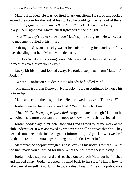Matt just nodded. He was too tired to ask questions. He stood and looked around the room for the rest of his stuff so he could get the hell out of there. *Find Brad, figure out what the hell he did with Lucky.* He was probably sitting in a jail cell right now. Matt's chest tightened at the thought.

"Matt?" Lucky's quiet voice made Matt's spine straighten. He winced as the movement pulled at his injury.

"Oh my God, Matt!" Lucky was at his side, running his hands carefully over the sling that held Matt's wounded arm.

"Lucky? What are you doing here?" Matt cupped his cheek and forced him to meet his eyes. "Are you okay?"

Lucky bit his lip and looked away. He took a step back from Matt. "It's Jordan."

"What?" Confusion clouded Matt's already befuddled mind.

"My name is Jordan Donovan. Not Lucky." Jordan continued to worry his bottom lip.

Matt sat back on the hospital bed. He narrowed his eyes. "Donovan?"

Jordan avoided his eyes and nodded. "Yeah. Uncle Rick—"

"Uncle?" *I've been played for a fool.* Anger radiated through Matt, but he schooled his features. Jordan didn't need to know how much he affected him.

Jordan nodded again. "Uncle Rick and Brad agreed to let me work at the club undercover. It was approved by whoever the hell approves that shit. They needed someone on the inside to gather information, and you know as well as I do that there aren't extra cops running around. So, I went in."

Matt breathed deeply through his nose, causing his nostrils to flare. "What the fuck made you qualified for that? What the hell were they thinking?"

Jordan took a step forward and reached out to touch Matt, but he flinched and moved away. Jordan dropped his hand back to his side. "I know how to take care of myself. And I…" He took a deep breath. "I teach a pole-dance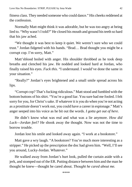fitness class. They needed someone who could dance." His cheeks reddened at the confession.

Normally Matt might think it was adorable, but he was too angry at being lied to. "Why wasn't I told?" He closed his mouth and ground his teeth so hard that his jaw ached.

"We thought it was best to keep it quiet. We weren't sure who we could trust." Jordan fidgeted with his hands. "Brad… Brad thought you might be a corrupt cop. I'm sorry, Matt."

Matt'sblood boiled with anger. His shoulder throbbed as he took deep breaths and clenched his jaw. He nodded and looked hard at Jordan, who finally raised his eyes. *Fuck this.* "I understand. I would've done the same in your situation."

"Really?" Jordan's eyes brightened and a small smile spread across his lips.

"Corrupt cop? That's fucking ridiculous." Matt stood and fumbled with the bottom buttons of his shirt. "You're a good liar. You sure had me fooled. I felt sorry for you, for Christ's sake. If whatever it is you do when you're not acting as a prostitute doesn't work out, you could have a career in espionage." Matt's anger seeped into his voice as he bit out the words. *I gotta get out of here.*

He didn't know what was real and what was a lie anymore. *How did Luck—Jordan feel?* He shook away the thought. Now was not the time to borrow trouble.

Jordan lost his smile and looked away again. "I work at a bookstore."

Matt gave a wry laugh. "A bookstore? You're much more interesting as a stripper." He picked up the prescription the doc had given him. "Well, I'll see you around, Lucky-Jordan. Whatever."

He walked away from Jordan's hurt look, pulled the curtain aside with a jerk, and stomped out of the ER. Putting distance between him and the man he thought he knew—thought he cared about. *Thought he cared about me.*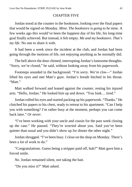#### CHAPTER FIVE

<span id="page-42-0"></span>Jordan stood at the counter in the bookstore, looking over the final papers that would be signed on Monday. *Mine. The bookstore is going to be mine.* A few weeks ago this would've been the happiest day of his life, his long-time goal finally achieved. But instead, it felt empty. *Me and my bookstore. That's my life.* No one to share it with.

It had been a week since the incident at the club, and Jordan had been going through the motions of life, not enjoying anything as he normally did.

The bell above the door chimed, interrupting Jordan's lonesome thoughts. "Sorry, we're closed," he said, without looking away from his paperwork.

Footsteps sounded in the background. "I'm sorry. We're clos—" Jordan lifted his eyes and met Matt's gaze. Jordan's breath hitched in his throat. "Matt."

Matt walked forward and leaned against the counter, resting his injured arm. "Hello, Jordan." He looked him up and down. "You look… tired."

Jordan rolled his eyes and started packing up his paperwork. "Thanks." He clutched his papers to his chest, ready to retreat to his apartment. "Can I help you with something? I'm rather busy at the moment, perhaps you can come back later." *Or never.*

"I've been working with your uncle and cousin for the past week closing up the case." He paused. "They're worried about you. Said you've been quieter than usual and you didn't show up for dinner the other night."

Jordan shrugged. "I've been busy. I close on the shop on Monday. There's been a lot of work to do."

"Congratulations. Guess being a stripper paid off, huh?" Matt gave him a forced smile.

*No.* Jordan remained silent, not taking the bait.

"Do you miss it?" Matt asked.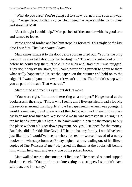"What do you care? You're going off to a new job, new city soon anyway, right?" Anger laced Jordan's voice. He hugged the papers tighter to his chest and stared at Matt.

"Just thought I could help." Matt pushed off the counter with his good arm and turned to leave.

Panic gripped Jordan and had him stepping forward. *This might be the last time I see him. The last chance I have.*

Matt almost made it to the door before Jordan cried out, "You're the only person I've ever told about my dad beating me." The words rushed out of him before he could stop them. "I told Uncle Rick and Brad that I was mugged. They don't believe the story, but I could never bring myself to admit to them what really happened." He set the papers on the counter and held on to the edge. "I-I wanted you to know that it wasn't all lies. That I didn't sleep with you as part of the act. That was real."

Matt turned and met his eyes, but didn't move.

"You were right. I'm more interesting as a stripper." He gestured at the bookcases in the shop. "This is who I really am. I live upstairs. I read a lot. My life revolves around this shop. It's how I escaped reality when I was younger. I would come here, crawl up on one of the chairs, and read. Owning this place has been my goal since Mr. Watson told me he was interested in retiring." He ran his hands through his hair. "The bank wouldn't loan me the money to buy the place without a bigger down payment. So, yes, I stripped for the money. But I also did it for kids like Gavin. If I hadn't had my family, I would've been just like him. I would've been a whore for real or worse, instead of a nerdy bookworm who stays home on Friday nights—alone, reading one of his fifteen copies of *The Princess Bride.*" He jerked his thumb at the bookshelf behind him, which held each and every one of his prized books.

Matt walked over to the counter. "I lied, too." He reached out and cupped Jordan's cheek. "You aren't more interesting as a stripper. I shouldn't have said that, and I'm sorry."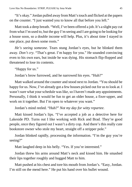"It's okay." Jordan pulled away from Matt's touch and flicked at the papers on the counter. "I just wanted you to know all that before you left."

Matt took a deep breath. "Well, I've been offered a job. It's a slight pay cut from what I'm used to, but the guy I'm seeing and I are going to be looking for a house soon, so a double income will help. Plus, it's about time I stayed in one place, put down some roots."

*He's seeing someone.* Tears stung Jordan's eyes, but he blinked them away. *Don't cry.* "That's great. I'm happy for you." He sounded convincing even to his own ears, but inside he was dying. His stomach flip-flopped and threatened to lose its contents.

"Happy for us."

Jordan's brow furrowed, and he narrowed his eyes. "Huh?"

Matt walked around the counter and stood next to Jordan. "You should be happy for us. Now, I've already got a few houses picked out for us to look at. I wasn't sure what your schedule was like, so I haven't made any appointments. Personally, I think it would be fun to get an older house, a fixer-upper, and work on it together. But I'm open to whatever you want."

Jordan's mind reeled. "Huh?" *Not my day for witty repartee.*

Matt kissed Jordan's lips. "I've accepted a job as a detective here for Lakeside PD. Turns out I like working with Rick and Brad. They're good people, once they figured out I wasn't a dirty cop. And there's this really cute bookstore owner who stole my heart, straight off a stripper pole."

Jordan blinked rapidly, processing the information. "I'm the guy you're seeing?"

Matt laughed deep in his belly. "Yes. If you're interested."

Jordan threw his arms around Matt's neck and kissed him. He smashed their lips together roughly and hugged Matt to him.

Matt pushed at his chest and tore his mouth from Jordan's. "Easy, Jordan. I'm still on the mend here." He put his hand over his bullet wound.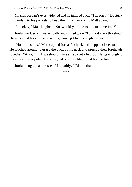*Oh shit.* Jordan's eyes widened and he jumped back. "I'm sorry!" He stuck his hands into his pockets to keep them from attacking Matt again.

"It's okay," Matt laughed. "So, would you like to go out sometime?"

Jordan nodded enthusiastically and smiled wide. "I think it's worth a shot." He winced at his choice of words, causing Matt to laugh harder.

"No more shots." Matt cupped Jordan's cheek and stepped closer to him. He reached around to grasp the back of his neck and pressed their foreheads together. "Also, I think we should make sure to get a bedroom large enough to install a stripper pole." He shrugged one shoulder. "Just for the fun of it."

Jordan laughed and kissed Matt softly. "I'd like that."

\*\*\*\*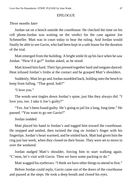#### EPILOGUE

#### <span id="page-46-0"></span>*Three months later*

Jordan sat on a bench outside the courthouse. He checked the time on his cell phone.Jordan was waiting on the verdict for the case against Joe Schmoeller. Matt was in court today to hear the ruling. And Jordan would finally be able to see Gavin, who had been kept in a safe house for the duration of the trial.

Matt emerged from the building. A bright smile lit up his face when he saw Jordan. "How'd it go?" Jordan asked, as he stood.

Matt kissed him hard. Their lips pressed together hard and tongues danced. Heat infused Jordan's limbs at the contact and he grasped Matt's shoulders.

Suddenly, Matt let go and Jordan stumbled back, holding onto the bench to keep from falling. "That good, huh?"

"I love you."

The words sent tingles down Jordan's spine, just like they always did. "I love you, too. I take it Joe's guilty?"

"Yes. Joe's been found guilty. He's going to jail for a long, long time." He paused. "You want to go see Gavin?"

Jordan nodded.

Matt placed his hand in Jordan's and tugged him toward the courthouse. He stopped and smiled, then twisted the ring on Jordan's finger with his fingertips. Jordan's heart warmed, and he smiled back. Matt had given him the ring just last week, when they closed on their house. They were set to move in over the weekend.

Jordan nudged Matt's shoulder, forcing him to start walking again. "C'mon, let's visit with Gavin. Then we have some packing to do."

Matt wagged his eyebrows. "I think we have other things to attend to first."

Before Jordan could reply, Gavin came out of the doors of the courthouse and paused at the steps. He took a deep breath and closed his eyes.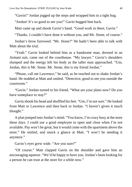"Gavin!" Jordan jogged up the steps and wrapped him in a tight hug.

"Jordan! It's so good to see you!" Gavin hugged him back.

Matt came up and shook Gavin's hand. "Good work in there, Gavin."

"Thanks. I couldn't have done it without you, and Mr. Stone, of course."

Jordan's brow furrowed. "Mr. Stone?" He hadn't been able to talk with Matt about the trial.

"Yeah." Gavin looked behind him as a handsome man, dressed in an Armani suit, came out of the courthouse. "My lawyer." Gavin's shoulders slumped and the energy left his body as the taller man approached. "Um, Jordan, this is Mr. Stone. Mr. Stone, this is my friend Jordan."

"Please, call me Lawrence," he said, as he reached out to shake Jordan's hand. He nodded at Matt and smiled. "Detective, good to see you outside the courtroom."

"Gavin." Jordan turned to his friend. "What are your plans now? Do you have someplace to stay?"

Gavin shook his head and shuffled his feet. "Um, I'm not sure." He looked from Matt to Lawrence and then back to Jordan. "I haven't given it much thought."

A plan jumped into Jordan's mind. "You know, I'm crazy busy at the store these days. I could use a good employee to open and close when I'm not available. Pay won't be great, but it would come with the apartment above the store." He smiled, and snuck a glance at Matt. "I won't be needing it anymore."

Gavin's eyes grew wide. "Are you sure?"

"Of course." Matt clapped Gavin on the shoulder and gave him an encouraging squeeze. "We'd be happy to have you. Jordan's been looking for a person he can trust at the store for a while now."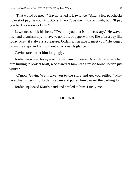"That would be great." Gavin turned to Lawrence. "After a few paychecks I can start paying you, Mr. Stone. It won't be much to start with, but I'll pay you back as soon as I can."

Lawrence shook his head. "I've told you that isn't necessary." He waved his hand dismissively. "I have to go. Lots of paperwork to file after a day like today. Matt, it's always a pleasure. Jordan, it was nice to meet you." He jogged down the steps and left without a backwards glance.

Gavin stared after him longingly.

Jordan narrowed his eyes at the man running away. A pinch to his side had him turning to look at Matt, who stared at him with a raised brow. Jordan just winked.

"C'mon, Gavin. We'll take you to the store and get you settled." Matt laced his fingers into Jordan's again and pulled him toward the parking lot.

Jordan squeezed Matt's hand and smiled at him. Lucky me.

### **THE END**